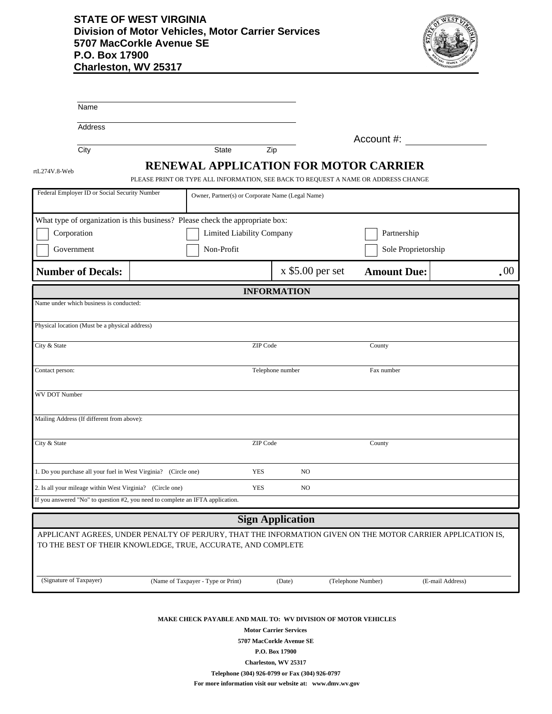## **STATE OF WEST VIRGINIA Division of Motor Vehicles, Motor Carrier Services 5707 MacCorkle Avenue SE P.O. Box 17900 Charleston, WV 25317**



|                         | Name                                                                           |                                                                                                                                    |                                                  |                  |                         |                    |                    |                                                                                                             |      |  |
|-------------------------|--------------------------------------------------------------------------------|------------------------------------------------------------------------------------------------------------------------------------|--------------------------------------------------|------------------|-------------------------|--------------------|--------------------|-------------------------------------------------------------------------------------------------------------|------|--|
|                         | Address                                                                        |                                                                                                                                    |                                                  |                  |                         |                    |                    |                                                                                                             |      |  |
|                         | City                                                                           |                                                                                                                                    | <b>State</b>                                     | Zip              |                         |                    | Account #:         |                                                                                                             |      |  |
|                         |                                                                                |                                                                                                                                    |                                                  |                  |                         |                    |                    |                                                                                                             |      |  |
| rtL274V.8-Web           |                                                                                | <b>RENEWAL APPLICATION FOR MOTOR CARRIER</b><br>PLEASE PRINT OR TYPE ALL INFORMATION, SEE BACK TO REQUEST A NAME OR ADDRESS CHANGE |                                                  |                  |                         |                    |                    |                                                                                                             |      |  |
|                         | Federal Employer ID or Social Security Number                                  |                                                                                                                                    | Owner, Partner(s) or Corporate Name (Legal Name) |                  |                         |                    |                    |                                                                                                             |      |  |
|                         | What type of organization is this business? Please check the appropriate box:  |                                                                                                                                    |                                                  |                  |                         |                    |                    |                                                                                                             |      |  |
| Corporation             |                                                                                |                                                                                                                                    | Limited Liability Company                        |                  |                         |                    | Partnership        |                                                                                                             |      |  |
| Government              |                                                                                |                                                                                                                                    | Non-Profit                                       |                  |                         |                    |                    | Sole Proprietorship                                                                                         |      |  |
|                         | <b>Number of Decals:</b>                                                       |                                                                                                                                    |                                                  |                  | $x$ \$5.00 per set      |                    | <b>Amount Due:</b> |                                                                                                             | .00. |  |
| <b>INFORMATION</b>      |                                                                                |                                                                                                                                    |                                                  |                  |                         |                    |                    |                                                                                                             |      |  |
|                         | Name under which business is conducted:                                        |                                                                                                                                    |                                                  |                  |                         |                    |                    |                                                                                                             |      |  |
|                         | Physical location (Must be a physical address)                                 |                                                                                                                                    |                                                  |                  |                         |                    |                    |                                                                                                             |      |  |
| City & State            |                                                                                |                                                                                                                                    |                                                  | ZIP Code         |                         |                    | County             |                                                                                                             |      |  |
| Contact person:         |                                                                                |                                                                                                                                    |                                                  | Telephone number |                         |                    | Fax number         |                                                                                                             |      |  |
| WV DOT Number           |                                                                                |                                                                                                                                    |                                                  |                  |                         |                    |                    |                                                                                                             |      |  |
|                         | Mailing Address (If different from above):                                     |                                                                                                                                    |                                                  |                  |                         |                    |                    |                                                                                                             |      |  |
| City & State            |                                                                                |                                                                                                                                    |                                                  | ZIP Code         |                         |                    | County             |                                                                                                             |      |  |
|                         | 1. Do you purchase all your fuel in West Virginia? (Circle one)                |                                                                                                                                    |                                                  | <b>YES</b>       | N <sub>O</sub>          |                    |                    |                                                                                                             |      |  |
|                         | 2. Is all your mileage within West Virginia? (Circle one)                      |                                                                                                                                    |                                                  | <b>YES</b>       | N <sub>O</sub>          |                    |                    |                                                                                                             |      |  |
|                         | If you answered "No" to question #2, you need to complete an IFTA application. |                                                                                                                                    |                                                  |                  |                         |                    |                    |                                                                                                             |      |  |
|                         |                                                                                |                                                                                                                                    |                                                  |                  | <b>Sign Application</b> |                    |                    |                                                                                                             |      |  |
|                         | TO THE BEST OF THEIR KNOWLEDGE, TRUE, ACCURATE, AND COMPLETE                   |                                                                                                                                    |                                                  |                  |                         |                    |                    | APPLICANT AGREES, UNDER PENALTY OF PERJURY, THAT THE INFORMATION GIVEN ON THE MOTOR CARRIER APPLICATION IS, |      |  |
| (Signature of Taxpayer) |                                                                                |                                                                                                                                    | (Name of Taxpayer - Type or Print)               |                  | (Date)                  | (Telephone Number) |                    | (E-mail Address)                                                                                            |      |  |
|                         |                                                                                |                                                                                                                                    |                                                  |                  |                         |                    |                    |                                                                                                             |      |  |

**MAKE CHECK PAYABLE AND MAIL TO: WV DIVISION OF MOTOR VEHICLES**

**Motor Carrier Services**

**5707 MacCorkle Avenue SE**

**P.O. Box 17900**

**Charleston, WV 25317**

**Telephone (304) 926-0799 or Fax (304) 926-0797**

**For more information visit our website at: www.dmv.wv.gov**